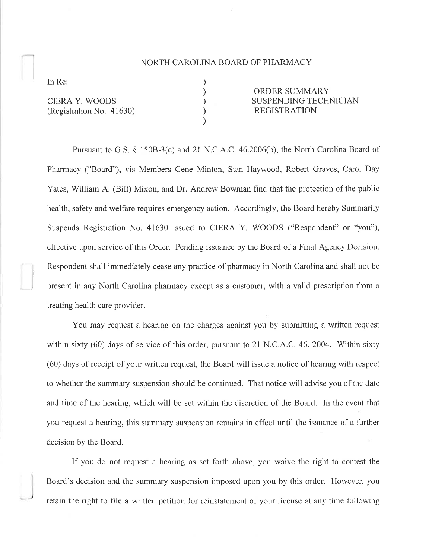## NORTH CAROLINA BOARD OF PHARMACY

) ) ) ) )

In Re:

CIERA Y. WOODS (Registration No. 41630)

ORDER SUMMARY SUSPENDING TECHNICIAN REGISTRATION

Pursuant to G.S. \$ l50B-3(c) and 2l N.C.A.C. 46.2006(b), the North Carolina Board of Pharmacy ("Board"), vis Members Gene Minton, Stan Haywood, Robert Graves, Carol Day Yates, William A. (Bill) Mixon, and Dr. Andrew Bowman find that the protection of the public health, safety and welfare requires emergency action. Accordingly, the Board hereby Summarily Suspends Registration No. 41630 issued to CIERA Y. WOODS ("Respondent" or "you"), effective upon service of this Order. Pending issuance by the Board of a Final Agency Decision, ì Respondent shall immediately cease any practice of plurmacy in North Carolina and shall uot be ; present in any Norlh Carolina pharmacy except as a customer, with a valid prescription from <sup>a</sup> treating health care provider.

You may request a hearing on the charges against you by submitting a written request within sixty (60) days of service of this order, pursuant to 21 N.C.A.C. 46, 2004. Within sixty (60) days of receipt of your written request, the Board will issue a notice of hearing with respect to whether the summary suspension should be continued. That notice will advise you of the date and time of the hearing, which will be set within the discretion of the Board. In the event that you request a hearing, this summary suspension remains in effect until the issuance of a further decision by the Board.

If'you do not request a hearing as set forth above, you waive the right to contest the Board's decision and the summary suspension imposed upon you by this order. However, you retain the right to file a written petition for reinstatement of your license at any time following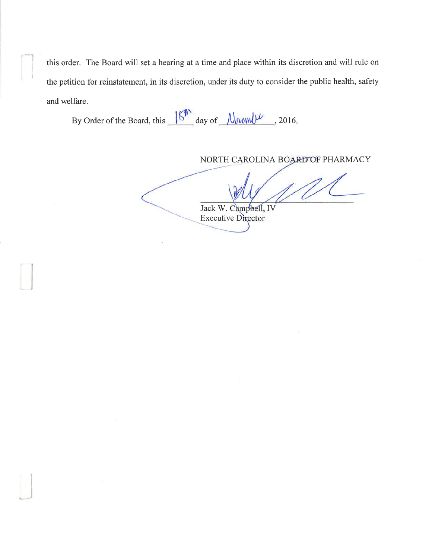this order. The Board will set a hearing at a time and place within its discretion and will rule on the petition for reinstatement, in its discretion, under its duty to consider the public health, safety and welfare.

By Order of the Board, this  $\frac{\sqrt{8}}{2016}$  day of  $\frac{\sqrt{8}}{2016}$ , 2016.

 $\Box$ 

J

NORTH CAROLINA BOARD OF PHARMACY

Jack W. Campbell, IV Executive Director